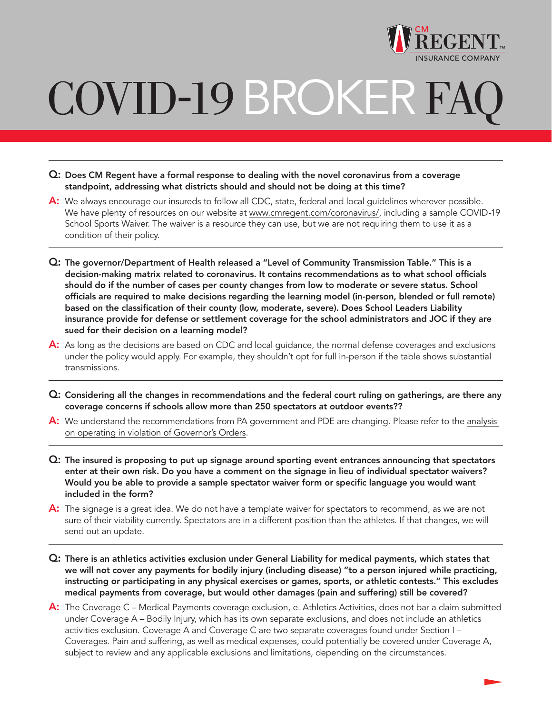

## COVID-19 BROKER FA

- Q: Does CM Regent have a formal response to dealing with the novel coronavirus from a coverage standpoint, addressing what districts should and should not be doing at this time?
- A: We always encourage our insureds to follow all CDC, state, federal and local quidelines wherever possible. We have plenty of resources on our website at www.cmregent.com/coronavirus/, including a sample COVID-19 School Sports Waiver. The waiver is a resource they can use, but we are not requiring them to use it as a condition of their policy.
- Q: The governor/Department of Health released a "Level of Community Transmission Table." This is a decision-making matrix related to coronavirus. It contains recommendations as to what school officials should do if the number of cases per county changes from low to moderate or severe status. School officials are required to make decisions regarding the learning model (in-person, blended or full remote) based on the classification of their county (low, moderate, severe). Does School Leaders Liability insurance provide for defense or settlement coverage for the school administrators and JOC if they are sued for their decision on a learning model?
- A: As long as the decisions are based on CDC and local guidance, the normal defense coverages and exclusions under the policy would apply. For example, they shouldn't opt for full in-person if the table shows substantial transmissions.
- Q: Considering all the changes in recommendations and the federal court ruling on gatherings, are there any coverage concerns if schools allow more than 250 spectators at outdoor events??
- A: We understand the recommendations from PA government and PDE are changing. Please refer to the [analysis](https://www.cmregent.com/wp-content/uploads/2020/10/Schools-Reopening-in-Violation-of-Governors-Orders.pdf) [on operating in violation of Governor's Orders.](https://www.cmregent.com/wp-content/uploads/2020/10/Schools-Reopening-in-Violation-of-Governors-Orders.pdf)
- Q: The insured is proposing to put up signage around sporting event entrances announcing that spectators enter at their own risk. Do you have a comment on the signage in lieu of individual spectator waivers? Would you be able to provide a sample spectator waiver form or specific language you would want included in the form?
- A: The signage is a great idea. We do not have a template waiver for spectators to recommend, as we are not sure of their viability currently. Spectators are in a different position than the athletes. If that changes, we will send out an update.
- Q: There is an athletics activities exclusion under General Liability for medical payments, which states that we will not cover any payments for bodily injury (including disease) "to a person injured while practicing, instructing or participating in any physical exercises or games, sports, or athletic contests." This excludes medical payments from coverage, but would other damages (pain and suffering) still be covered?
- A: The Coverage C Medical Payments coverage exclusion, e. Athletics Activities, does not bar a claim submitted under Coverage A – Bodily Injury, which has its own separate exclusions, and does not include an athletics activities exclusion. Coverage A and Coverage C are two separate coverages found under Section I – Coverages. Pain and suffering, as well as medical expenses, could potentially be covered under Coverage A, subject to review and any applicable exclusions and limitations, depending on the circumstances.